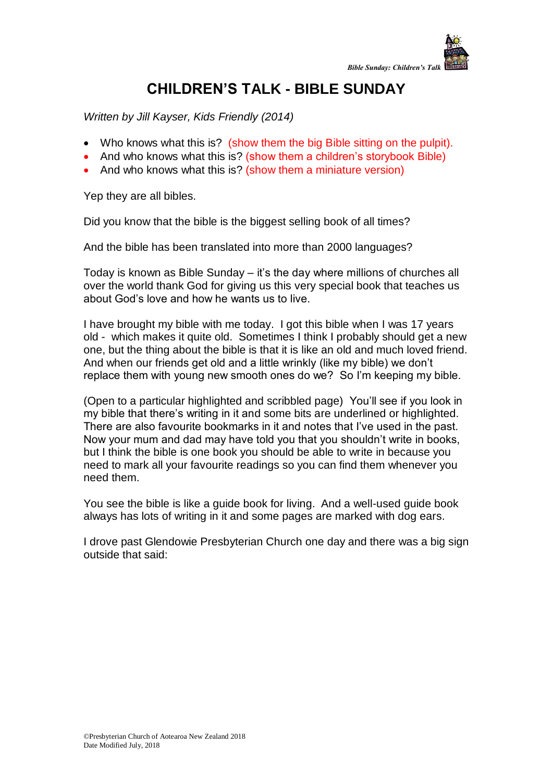

## **CHILDREN'S TALK - BIBLE SUNDAY**

*Written by Jill Kayser, Kids Friendly (2014)*

- Who knows what this is? (show them the big Bible sitting on the pulpit).
- And who knows what this is? (show them a children's storybook Bible)
- And who knows what this is? (show them a miniature version)

Yep they are all bibles.

Did you know that the bible is the biggest selling book of all times?

And the bible has been translated into more than 2000 languages?

Today is known as Bible Sunday – it's the day where millions of churches all over the world thank God for giving us this very special book that teaches us about God's love and how he wants us to live.

I have brought my bible with me today. I got this bible when I was 17 years old - which makes it quite old. Sometimes I think I probably should get a new one, but the thing about the bible is that it is like an old and much loved friend. And when our friends get old and a little wrinkly (like my bible) we don't replace them with young new smooth ones do we? So I'm keeping my bible.

(Open to a particular highlighted and scribbled page) You'll see if you look in my bible that there's writing in it and some bits are underlined or highlighted. There are also favourite bookmarks in it and notes that I've used in the past. Now your mum and dad may have told you that you shouldn't write in books, but I think the bible is one book you should be able to write in because you need to mark all your favourite readings so you can find them whenever you need them.

You see the bible is like a guide book for living. And a well-used guide book always has lots of writing in it and some pages are marked with dog ears.

I drove past Glendowie Presbyterian Church one day and there was a big sign outside that said: